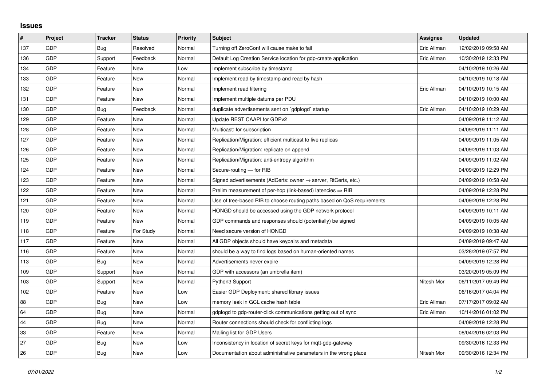## **Issues**

| $\sharp$ | <b>Project</b> | <b>Tracker</b> | <b>Status</b> | <b>Priority</b> | <b>Subject</b>                                                             | Assignee    | <b>Updated</b>      |
|----------|----------------|----------------|---------------|-----------------|----------------------------------------------------------------------------|-------------|---------------------|
| 137      | GDP            | Bug            | Resolved      | Normal          | Turning off ZeroConf will cause make to fail                               | Eric Allman | 12/02/2019 09:58 AM |
| 136      | <b>GDP</b>     | Support        | Feedback      | Normal          | Default Log Creation Service location for gdp-create application           | Eric Allman | 10/30/2019 12:33 PM |
| 134      | <b>GDP</b>     | Feature        | <b>New</b>    | Low             | Implement subscribe by timestamp                                           |             | 04/10/2019 10:26 AM |
| 133      | GDP            | Feature        | <b>New</b>    | Normal          | Implement read by timestamp and read by hash                               |             | 04/10/2019 10:18 AM |
| 132      | <b>GDP</b>     | Feature        | <b>New</b>    | Normal          | Implement read filtering                                                   | Eric Allman | 04/10/2019 10:15 AM |
| 131      | <b>GDP</b>     | Feature        | <b>New</b>    | Normal          | Implement multiple datums per PDU                                          |             | 04/10/2019 10:00 AM |
| 130      | GDP            | <b>Bug</b>     | Feedback      | Normal          | duplicate advertisements sent on `gdplogd` startup                         | Eric Allman | 04/10/2019 10:29 AM |
| 129      | GDP            | Feature        | <b>New</b>    | Normal          | Update REST CAAPI for GDPv2                                                |             | 04/09/2019 11:12 AM |
| 128      | <b>GDP</b>     | Feature        | <b>New</b>    | Normal          | Multicast: for subscription                                                |             | 04/09/2019 11:11 AM |
| 127      | <b>GDP</b>     | Feature        | <b>New</b>    | Normal          | Replication/Migration: efficient multicast to live replicas                |             | 04/09/2019 11:05 AM |
| 126      | <b>GDP</b>     | Feature        | <b>New</b>    | Normal          | Replication/Migration: replicate on append                                 |             | 04/09/2019 11:03 AM |
| 125      | <b>GDP</b>     | Feature        | <b>New</b>    | Normal          | Replication/Migration: anti-entropy algorithm                              |             | 04/09/2019 11:02 AM |
| 124      | <b>GDP</b>     | Feature        | New           | Normal          | Secure-routing - for RIB                                                   |             | 04/09/2019 12:29 PM |
| 123      | <b>GDP</b>     | Feature        | <b>New</b>    | Normal          | Signed advertisements (AdCerts: owner $\rightarrow$ server, RtCerts, etc.) |             | 04/09/2019 10:58 AM |
| 122      | <b>GDP</b>     | Feature        | <b>New</b>    | Normal          | Prelim measurement of per-hop (link-based) latencies $\Rightarrow$ RIB     |             | 04/09/2019 12:28 PM |
| 121      | <b>GDP</b>     | Feature        | <b>New</b>    | Normal          | Use of tree-based RIB to choose routing paths based on QoS requirements    |             | 04/09/2019 12:28 PM |
| 120      | GDP            | Feature        | <b>New</b>    | Normal          | HONGD should be accessed using the GDP network protocol                    |             | 04/09/2019 10:11 AM |
| 119      | <b>GDP</b>     | Feature        | <b>New</b>    | Normal          | GDP commands and responses should (potentially) be signed                  |             | 04/09/2019 10:05 AM |
| 118      | <b>GDP</b>     | Feature        | For Study     | Normal          | Need secure version of HONGD                                               |             | 04/09/2019 10:38 AM |
| 117      | GDP            | Feature        | <b>New</b>    | Normal          | All GDP objects should have keypairs and metadata                          |             | 04/09/2019 09:47 AM |
| 116      | <b>GDP</b>     | Feature        | <b>New</b>    | Normal          | should be a way to find logs based on human-oriented names                 |             | 03/28/2019 07:57 PM |
| 113      | <b>GDP</b>     | Bug            | New           | Normal          | Advertisements never expire                                                |             | 04/09/2019 12:28 PM |
| 109      | <b>GDP</b>     | Support        | <b>New</b>    | Normal          | GDP with accessors (an umbrella item)                                      |             | 03/20/2019 05:09 PM |
| 103      | <b>GDP</b>     | Support        | <b>New</b>    | Normal          | Python3 Support                                                            | Nitesh Mor  | 06/11/2017 09:49 PM |
| 102      | <b>GDP</b>     | Feature        | <b>New</b>    | Low             | Easier GDP Deployment: shared library issues                               |             | 06/16/2017 04:04 PM |
| 88       | <b>GDP</b>     | Bug            | <b>New</b>    | Low             | memory leak in GCL cache hash table                                        | Eric Allman | 07/17/2017 09:02 AM |
| 64       | <b>GDP</b>     | Bug            | <b>New</b>    | Normal          | gdplogd to gdp-router-click communications getting out of sync             | Eric Allman | 10/14/2016 01:02 PM |
| 44       | <b>GDP</b>     | Bug            | <b>New</b>    | Normal          | Router connections should check for conflicting logs                       |             | 04/09/2019 12:28 PM |
| 33       | <b>GDP</b>     | Feature        | <b>New</b>    | Normal          | Mailing list for GDP Users                                                 |             | 08/04/2016 02:03 PM |
| 27       | GDP            | Bug            | <b>New</b>    | Low             | Inconsistency in location of secret keys for mqtt-gdp-gateway              |             | 09/30/2016 12:33 PM |
| 26       | GDP            | Bug            | New           | Low             | Documentation about administrative parameters in the wrong place           | Nitesh Mor  | 09/30/2016 12:34 PM |